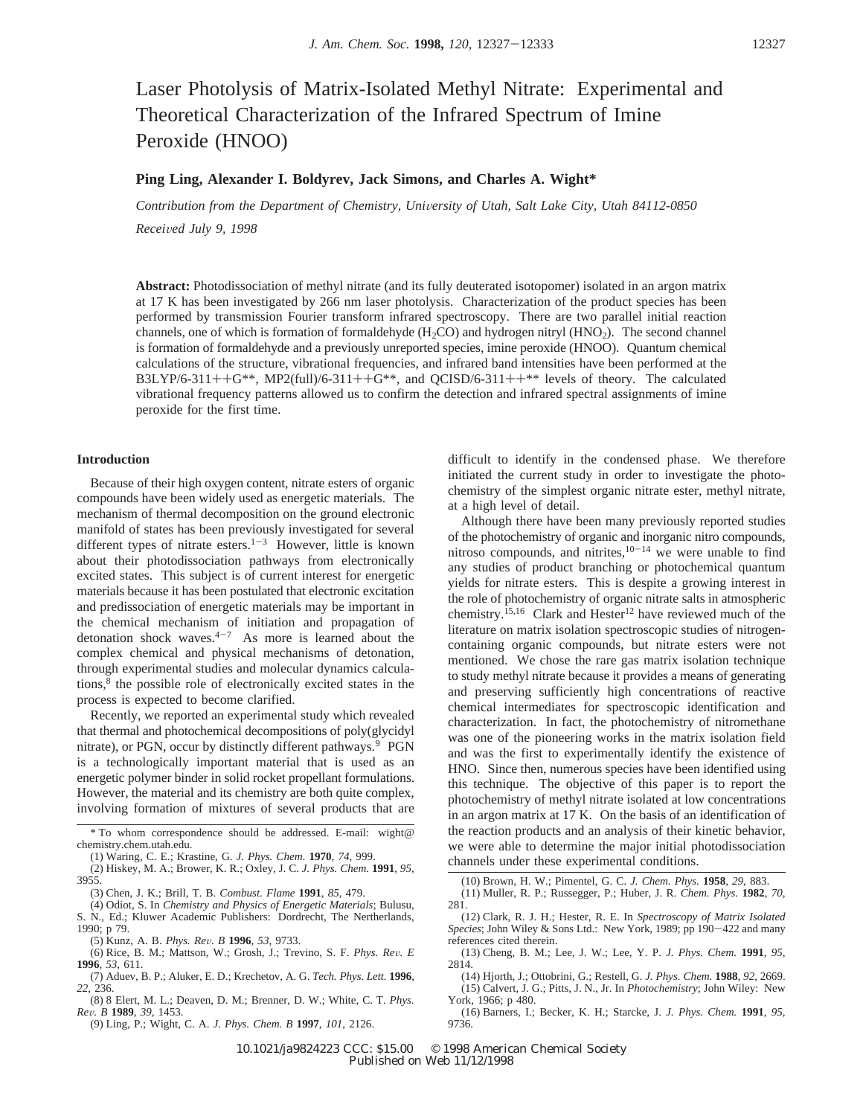# Laser Photolysis of Matrix-Isolated Methyl Nitrate: Experimental and Theoretical Characterization of the Infrared Spectrum of Imine Peroxide (HNOO)

# **Ping Ling, Alexander I. Boldyrev, Jack Simons, and Charles A. Wight\***

*Contribution from the Department of Chemistry, University of Utah, Salt Lake City, Utah 84112-0850 Recei*V*ed July 9, 1998*

**Abstract:** Photodissociation of methyl nitrate (and its fully deuterated isotopomer) isolated in an argon matrix at 17 K has been investigated by 266 nm laser photolysis. Characterization of the product species has been performed by transmission Fourier transform infrared spectroscopy. There are two parallel initial reaction channels, one of which is formation of formaldehyde  $(H_2CO)$  and hydrogen nitryl  $(HNO_2)$ . The second channel is formation of formaldehyde and a previously unreported species, imine peroxide (HNOO). Quantum chemical calculations of the structure, vibrational frequencies, and infrared band intensities have been performed at the  $B3LYP/6-311++G^{**}$ , MP2(full)/6-311++G\*\*, and QCISD/6-311++\*\* levels of theory. The calculated vibrational frequency patterns allowed us to confirm the detection and infrared spectral assignments of imine peroxide for the first time.

## **Introduction**

Because of their high oxygen content, nitrate esters of organic compounds have been widely used as energetic materials. The mechanism of thermal decomposition on the ground electronic manifold of states has been previously investigated for several different types of nitrate esters.<sup>1-3</sup> However, little is known about their photodissociation pathways from electronically excited states. This subject is of current interest for energetic materials because it has been postulated that electronic excitation and predissociation of energetic materials may be important in the chemical mechanism of initiation and propagation of detonation shock waves. $4-7$  As more is learned about the complex chemical and physical mechanisms of detonation, through experimental studies and molecular dynamics calculations,8 the possible role of electronically excited states in the process is expected to become clarified.

Recently, we reported an experimental study which revealed that thermal and photochemical decompositions of poly(glycidyl nitrate), or PGN, occur by distinctly different pathways.<sup>9</sup> PGN is a technologically important material that is used as an energetic polymer binder in solid rocket propellant formulations. However, the material and its chemistry are both quite complex, involving formation of mixtures of several products that are

difficult to identify in the condensed phase. We therefore initiated the current study in order to investigate the photochemistry of the simplest organic nitrate ester, methyl nitrate, at a high level of detail.

Although there have been many previously reported studies of the photochemistry of organic and inorganic nitro compounds, nitroso compounds, and nitrites, $10-14$  we were unable to find any studies of product branching or photochemical quantum yields for nitrate esters. This is despite a growing interest in the role of photochemistry of organic nitrate salts in atmospheric chemistry.<sup>15,16</sup> Clark and Hester<sup>12</sup> have reviewed much of the literature on matrix isolation spectroscopic studies of nitrogencontaining organic compounds, but nitrate esters were not mentioned. We chose the rare gas matrix isolation technique to study methyl nitrate because it provides a means of generating and preserving sufficiently high concentrations of reactive chemical intermediates for spectroscopic identification and characterization. In fact, the photochemistry of nitromethane was one of the pioneering works in the matrix isolation field and was the first to experimentally identify the existence of HNO. Since then, numerous species have been identified using this technique. The objective of this paper is to report the photochemistry of methyl nitrate isolated at low concentrations in an argon matrix at 17 K. On the basis of an identification of the reaction products and an analysis of their kinetic behavior, we were able to determine the major initial photodissociation channels under these experimental conditions.

<sup>\*</sup> To whom correspondence should be addressed. E-mail: wight@ chemistry.chem.utah.edu.

<sup>(1)</sup> Waring, C. E.; Krastine, G. *J. Phys. Chem*. **1970**, *74*, 999.

<sup>(2)</sup> Hiskey, M. A.; Brower, K. R.; Oxley, J. C. *J. Phys. Chem.* **1991**, *95*, 3955.

<sup>(3)</sup> Chen, J. K.; Brill, T. B. *Combust. Flame* **1991**, *85*, 479.

<sup>(4)</sup> Odiot, S. In *Chemistry and Physics of Energetic Materials*; Bulusu, S. N., Ed.; Kluwer Academic Publishers: Dordrecht, The Nertherlands, 1990; p 79.

<sup>(5)</sup> Kunz, A. B. *Phys. Re*V*. B* **<sup>1996</sup>**, *<sup>53</sup>*, 9733.

<sup>(6)</sup> Rice, B. M.; Mattson, W.; Grosh, J.; Trevino, S. F. *Phys. Re*V*. E* **1996**, *53*, 611.

<sup>(7)</sup> Aduev, B. P.; Aluker, E. D.; Krechetov, A. G. *Tech. Phys. Lett.* **1996**, *22*, 236.

<sup>(8) 8</sup> Elert, M. L.; Deaven, D. M.; Brenner, D. W.; White, C. T. *Phys. Re*V*. B* **<sup>1989</sup>**, *<sup>39</sup>*, 1453.

<sup>(9)</sup> Ling, P.; Wight, C. A. *J. Phys. Chem. B* **1997**, *101*, 2126.

<sup>(10)</sup> Brown, H. W.; Pimentel, G. C. *J. Chem. Phys.* **1958**, *29*, 883.

<sup>(11)</sup> Muller, R. P.; Russegger, P.; Huber, J. R. *Chem. Phys.* **1982**, *70*, 281.

<sup>(12)</sup> Clark, R. J. H.; Hester, R. E. In *Spectroscopy of Matrix Isolated Species*; John Wiley & Sons Ltd.: New York, 1989; pp 190-422 and many references cited therein.

<sup>(13)</sup> Cheng, B. M.; Lee, J. W.; Lee, Y. P. *J. Phys. Chem.* **1991**, *95*, 2814.

<sup>(14)</sup> Hjorth, J.; Ottobrini, G.; Restell, G. *J. Phys. Chem.* **1988**, *92*, 2669. (15) Calvert, J. G.; Pitts, J. N., Jr. In *Photochemistry*; John Wiley: New York, 1966; p 480.

<sup>(16)</sup> Barners, I.; Becker, K. H.; Starcke, J. *J. Phys. Chem.* **1991**, *95*, 9736.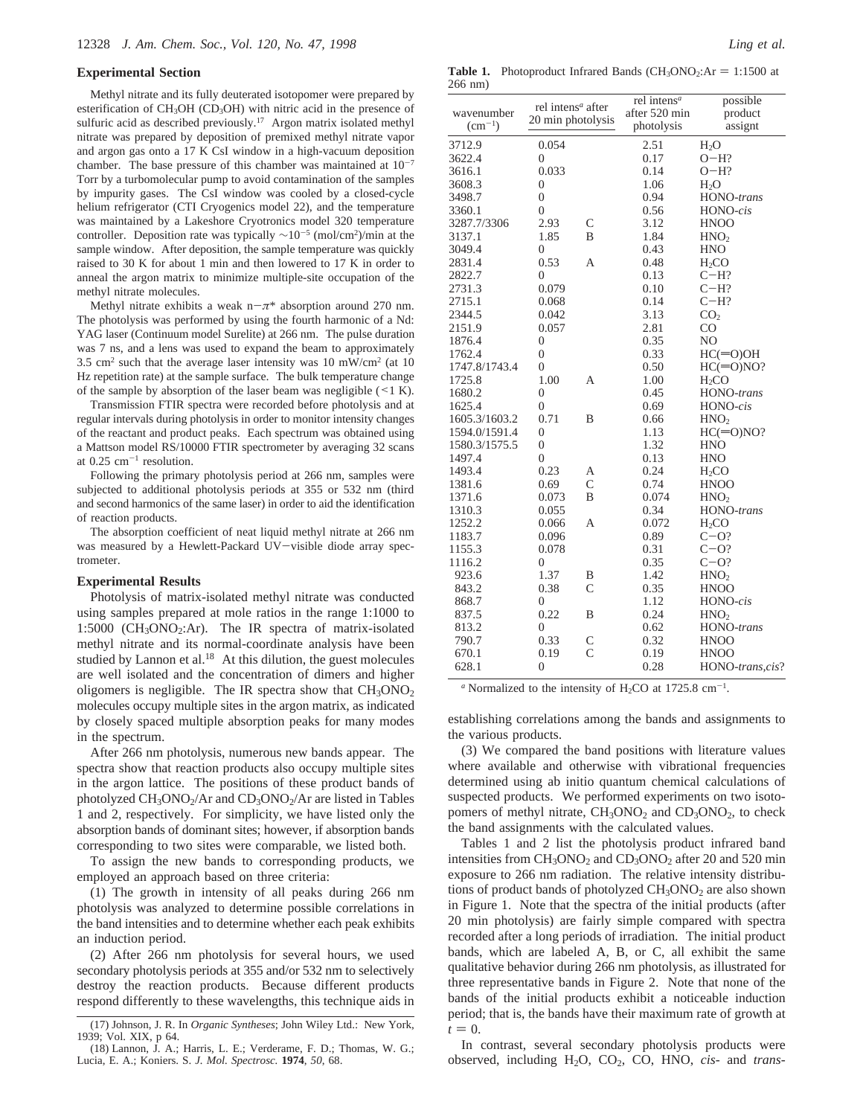#### **Experimental Section**

Methyl nitrate and its fully deuterated isotopomer were prepared by esterification of CH<sub>3</sub>OH (CD<sub>3</sub>OH) with nitric acid in the presence of sulfuric acid as described previously.<sup>17</sup> Argon matrix isolated methyl nitrate was prepared by deposition of premixed methyl nitrate vapor and argon gas onto a 17 K CsI window in a high-vacuum deposition chamber. The base pressure of this chamber was maintained at  $10^{-7}$ Torr by a turbomolecular pump to avoid contamination of the samples by impurity gases. The CsI window was cooled by a closed-cycle helium refrigerator (CTI Cryogenics model 22), and the temperature was maintained by a Lakeshore Cryotronics model 320 temperature controller. Deposition rate was typically ∼10-<sup>5</sup> (mol/cm2)/min at the sample window. After deposition, the sample temperature was quickly raised to 30 K for about 1 min and then lowered to 17 K in order to anneal the argon matrix to minimize multiple-site occupation of the methyl nitrate molecules.

Methyl nitrate exhibits a weak n-*π*\* absorption around 270 nm. The photolysis was performed by using the fourth harmonic of a Nd: YAG laser (Continuum model Surelite) at 266 nm. The pulse duration was 7 ns, and a lens was used to expand the beam to approximately 3.5 cm<sup>2</sup> such that the average laser intensity was 10 mW/cm<sup>2</sup> (at 10) Hz repetition rate) at the sample surface. The bulk temperature change of the sample by absorption of the laser beam was negligible  $(\leq 1)$  K).

Transmission FTIR spectra were recorded before photolysis and at regular intervals during photolysis in order to monitor intensity changes of the reactant and product peaks. Each spectrum was obtained using a Mattson model RS/10000 FTIR spectrometer by averaging 32 scans at  $0.25$  cm<sup>-1</sup> resolution.

Following the primary photolysis period at 266 nm, samples were subjected to additional photolysis periods at 355 or 532 nm (third and second harmonics of the same laser) in order to aid the identification of reaction products.

The absorption coefficient of neat liquid methyl nitrate at 266 nm was measured by a Hewlett-Packard UV-visible diode array spectrometer.

#### **Experimental Results**

Photolysis of matrix-isolated methyl nitrate was conducted using samples prepared at mole ratios in the range 1:1000 to 1:5000 (CH3ONO2:Ar). The IR spectra of matrix-isolated methyl nitrate and its normal-coordinate analysis have been studied by Lannon et al.<sup>18</sup> At this dilution, the guest molecules are well isolated and the concentration of dimers and higher oligomers is negligible. The IR spectra show that  $CH<sub>3</sub>ONO<sub>2</sub>$ molecules occupy multiple sites in the argon matrix, as indicated by closely spaced multiple absorption peaks for many modes in the spectrum.

After 266 nm photolysis, numerous new bands appear. The spectra show that reaction products also occupy multiple sites in the argon lattice. The positions of these product bands of photolyzed  $CH_3ONO_2/Ar$  and  $CD_3ONO_2/Ar$  are listed in Tables 1 and 2, respectively. For simplicity, we have listed only the absorption bands of dominant sites; however, if absorption bands corresponding to two sites were comparable, we listed both.

To assign the new bands to corresponding products, we employed an approach based on three criteria:

(1) The growth in intensity of all peaks during 266 nm photolysis was analyzed to determine possible correlations in the band intensities and to determine whether each peak exhibits an induction period.

(2) After 266 nm photolysis for several hours, we used secondary photolysis periods at 355 and/or 532 nm to selectively destroy the reaction products. Because different products respond differently to these wavelengths, this technique aids in

**Table 1.** Photoproduct Infrared Bands  $(CH<sub>3</sub>ONO<sub>2</sub>:Ar = 1:1500$  at 266 nm)

| wavenumber    | rel intens <sup>a</sup> after |                | rel intens <sup>a</sup><br>after 520 min | possible<br>product |
|---------------|-------------------------------|----------------|------------------------------------------|---------------------|
| $(cm^{-1})$   | 20 min photolysis             |                | photolysis                               | assignt             |
| 3712.9        | 0.054                         |                | 2.51                                     | H <sub>2</sub> O    |
| 3622.4        | $\overline{0}$                |                | 0.17                                     | $O-H?$              |
| 3616.1        | 0.033                         |                | 0.14                                     | $O-H?$              |
| 3608.3        | $\overline{0}$                |                | 1.06                                     | $H_2O$              |
| 3498.7        | $\overline{0}$                |                | 0.94                                     | HONO-trans          |
| 3360.1        | $\overline{0}$                |                | 0.56                                     | HONO-cis            |
| 3287.7/3306   | 2.93                          | $\mathsf{C}$   | 3.12                                     | <b>HNOO</b>         |
| 3137.1        | 1.85                          | B              | 1.84                                     | HNO <sub>2</sub>    |
| 3049.4        | $\overline{0}$                |                | 0.43                                     | <b>HNO</b>          |
| 2831.4        | 0.53                          | А              | 0.48                                     | H <sub>2</sub> CO   |
| 2822.7        | 0                             |                | 0.13                                     | $C-H?$              |
| 2731.3        | 0.079                         |                | 0.10                                     | $C-H?$              |
| 2715.1        | 0.068                         |                | 0.14                                     | $C-H?$              |
| 2344.5        | 0.042                         |                | 3.13                                     | CO <sub>2</sub>     |
| 2151.9        | 0.057                         |                | 2.81                                     | CO                  |
| 1876.4        | 0                             |                | 0.35                                     | NO                  |
| 1762.4        | $\mathbf{0}$                  |                | 0.33                                     | $HC(=O)OH$          |
| 1747.8/1743.4 | 0                             |                | 0.50                                     | $HC(=O)NO?$         |
| 1725.8        | 1.00                          | А              | 1.00                                     | H <sub>2</sub> CO   |
| 1680.2        | 0                             |                | 0.45                                     | HONO-trans          |
| 1625.4        | 0                             |                | 0.69                                     | HONO-cis            |
| 1605.3/1603.2 | 0.71                          | B              | 0.66                                     | HNO <sub>2</sub>    |
| 1594.0/1591.4 | 0                             |                | 1.13                                     | $HC(=O)NO?$         |
| 1580.3/1575.5 | 0                             |                | 1.32                                     | <b>HNO</b>          |
| 1497.4        | $\theta$                      |                | 0.13                                     | <b>HNO</b>          |
| 1493.4        | 0.23                          | А              | 0.24                                     | $H_2CO$             |
| 1381.6        | 0.69                          | $\overline{C}$ | 0.74                                     | <b>HNOO</b>         |
| 1371.6        | 0.073                         | B              | 0.074                                    | HNO <sub>2</sub>    |
| 1310.3        | 0.055                         |                | 0.34                                     | HONO-trans          |
| 1252.2        | 0.066                         | А              | 0.072                                    | H <sub>2</sub> CO   |
| 1183.7        | 0.096                         |                | 0.89                                     | $C-O?$              |
| 1155.3        | 0.078                         |                | 0.31                                     | $C-O?$              |
| 1116.2        | $\overline{0}$                |                | 0.35                                     | $C-O?$              |
| 923.6         | 1.37                          | В              | 1.42                                     | HNO <sub>2</sub>    |
| 843.2         | 0.38                          | $\mathsf{C}$   | 0.35                                     | <b>HNOO</b>         |
| 868.7         | 0                             |                | 1.12                                     | HONO-cis            |
| 837.5         | 0.22                          | B              | 0.24                                     | HNO <sub>2</sub>    |
| 813.2         | $\overline{0}$                |                | 0.62                                     | HONO-trans          |
| 790.7         | 0.33                          | С              | 0.32                                     | <b>HNOO</b>         |
| 670.1         | 0.19                          | $\overline{C}$ | 0.19                                     | <b>HNOO</b>         |
| 628.1         | 0                             |                | 0.28                                     | HONO-trans, cis?    |
|               |                               |                |                                          |                     |

*a* Normalized to the intensity of  $H_2CO$  at 1725.8 cm<sup>-1</sup>.

establishing correlations among the bands and assignments to the various products.

(3) We compared the band positions with literature values where available and otherwise with vibrational frequencies determined using ab initio quantum chemical calculations of suspected products. We performed experiments on two isotopomers of methyl nitrate,  $CH<sub>3</sub>ONO<sub>2</sub>$  and  $CD<sub>3</sub>ONO<sub>2</sub>$ , to check the band assignments with the calculated values.

Tables 1 and 2 list the photolysis product infrared band intensities from  $CH_3ONO_2$  and  $CD_3ONO_2$  after 20 and 520 min exposure to 266 nm radiation. The relative intensity distributions of product bands of photolyzed  $CH<sub>3</sub>ONO<sub>2</sub>$  are also shown in Figure 1. Note that the spectra of the initial products (after 20 min photolysis) are fairly simple compared with spectra recorded after a long periods of irradiation. The initial product bands, which are labeled A, B, or C, all exhibit the same qualitative behavior during 266 nm photolysis, as illustrated for three representative bands in Figure 2. Note that none of the bands of the initial products exhibit a noticeable induction period; that is, the bands have their maximum rate of growth at  $t = 0$ .

In contrast, several secondary photolysis products were observed, including H2O, CO2, CO, HNO, *cis*- and *trans-*

<sup>(17)</sup> Johnson, J. R. In *Organic Syntheses*; John Wiley Ltd.: New York, 1939; Vol. XIX, p 64.

<sup>(18)</sup> Lannon, J. A.; Harris, L. E.; Verderame, F. D.; Thomas, W. G.; Lucia, E. A.; Koniers. S. *J. Mol. Spectrosc.* **1974**, *50*, 68.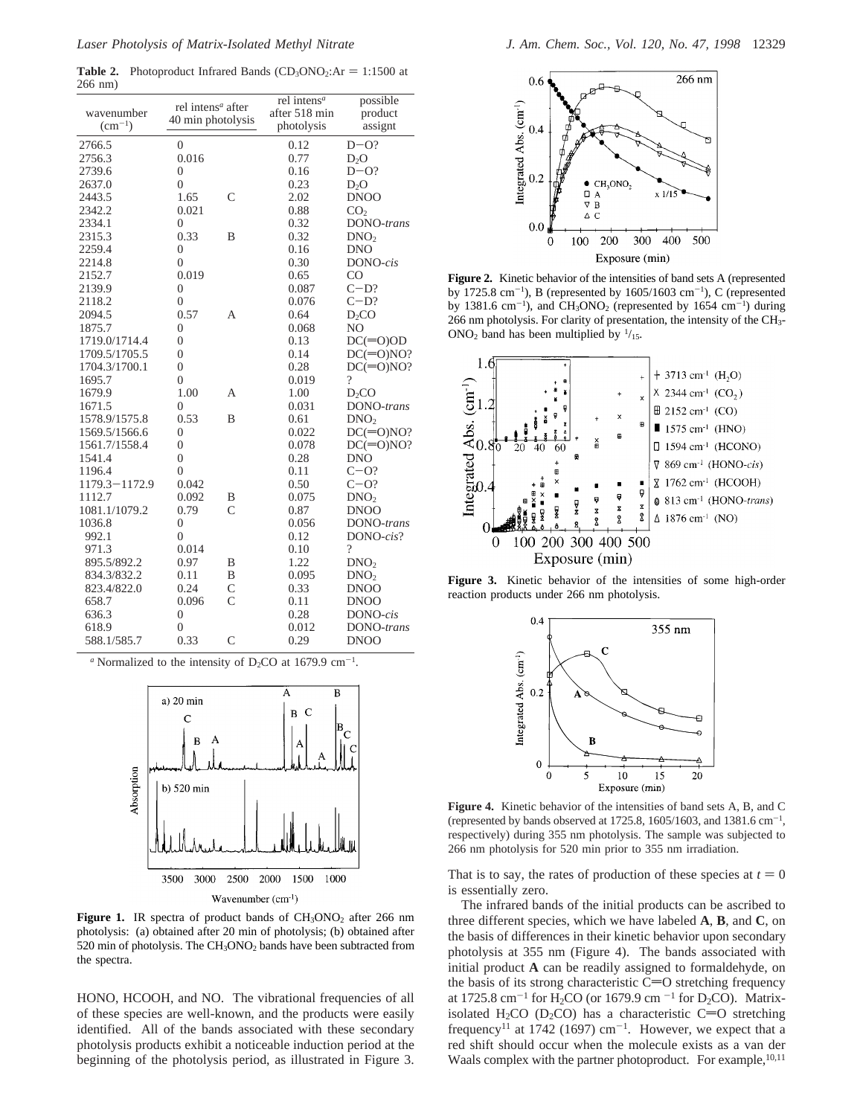**Table 2.** Photoproduct Infrared Bands  $(CD_3ONO_2:Ar = 1:1500$  at 266 nm)

| wavenumber<br>$(cm^{-1})$ | rel intens <sup>a</sup> after<br>40 min photolysis |                | rel intens <sup>a</sup><br>after 518 min<br>photolysis | possible<br>product<br>assignt |
|---------------------------|----------------------------------------------------|----------------|--------------------------------------------------------|--------------------------------|
| 2766.5                    | $\Omega$                                           |                | 0.12                                                   | $D-O?$                         |
| 2756.3                    | 0.016                                              |                | 0.77                                                   | $D_2O$                         |
| 2739.6                    | $\theta$                                           |                | 0.16                                                   | $D-O?$                         |
| 2637.0                    | $\overline{0}$                                     |                | 0.23                                                   | $D_2O$                         |
| 2443.5                    | 1.65                                               | $\mathcal{C}$  | 2.02                                                   | <b>DNOO</b>                    |
| 2342.2                    | 0.021                                              |                | 0.88                                                   | CO <sub>2</sub>                |
| 2334.1                    | 0                                                  |                | 0.32                                                   | DONO-trans                     |
| 2315.3                    | 0.33                                               | B              | 0.32                                                   | DNO <sub>2</sub>               |
| 2259.4                    | $\boldsymbol{0}$                                   |                | 0.16                                                   | <b>DNO</b>                     |
| 2214.8                    | $\overline{0}$                                     |                | 0.30                                                   | DONO-cis                       |
| 2152.7                    | 0.019                                              |                | 0.65                                                   | CO                             |
| 2139.9                    | $\overline{0}$                                     |                | 0.087                                                  | $C-D?$                         |
| 2118.2                    | $\overline{0}$                                     |                | 0.076                                                  | $C-D?$                         |
| 2094.5                    | 0.57                                               | А              | 0.64                                                   | D <sub>2</sub> CO              |
| 1875.7                    | $\overline{0}$                                     |                | 0.068                                                  | N <sub>O</sub>                 |
| 1719.0/1714.4             | 0                                                  |                | 0.13                                                   | $DC(=0)OD$                     |
| 1709.5/1705.5             | $\overline{0}$                                     |                | 0.14                                                   | $DC(=O)NO?$                    |
| 1704.3/1700.1             | $\overline{0}$                                     |                | 0.28                                                   | $DC(=O)NO?$                    |
| 1695.7                    | $\overline{0}$                                     |                | 0.019                                                  | $\overline{\mathcal{L}}$       |
| 1679.9                    | 1.00                                               | А              | 1.00                                                   | $D_2CO$                        |
| 1671.5                    | $\Omega$                                           |                | 0.031                                                  | DONO-trans                     |
| 1578.9/1575.8             | 0.53                                               | B              | 0.61                                                   | DNO <sub>2</sub>               |
| 1569.5/1566.6             | $\overline{0}$                                     |                | 0.022                                                  | $DC(=O)NO?$                    |
| 1561.7/1558.4             | $\overline{0}$                                     |                | 0.078                                                  | $DC(=O)NO?$                    |
| 1541.4                    | $\overline{0}$                                     |                | 0.28                                                   | <b>DNO</b>                     |
| 1196.4                    | $\theta$                                           |                | 0.11                                                   | $C=O?$                         |
| 1179.3-1172.9             | 0.042                                              |                | 0.50                                                   | $C-O?$                         |
| 1112.7                    | 0.092                                              | В              | 0.075                                                  | DNO <sub>2</sub>               |
| 1081.1/1079.2             | 0.79                                               | $\mathcal{C}$  | 0.87                                                   | <b>DNOO</b>                    |
| 1036.8                    | $\overline{0}$                                     |                | 0.056                                                  | DONO-trans                     |
| 992.1                     | $\theta$                                           |                | 0.12                                                   | $DONO - cis?$                  |
| 971.3                     | 0.014                                              |                | 0.10                                                   | $\overline{\mathcal{L}}$       |
| 895.5/892.2               | 0.97                                               | В              | 1.22                                                   | DNO <sub>2</sub>               |
| 834.3/832.2               | 0.11                                               | B              | 0.095                                                  | DNO <sub>2</sub>               |
| 823.4/822.0               | 0.24                                               | $\overline{C}$ | 0.33                                                   | <b>DNOO</b>                    |
| 658.7                     | 0.096                                              | $\mathsf{C}$   | 0.11                                                   | <b>DNOO</b>                    |
| 636.3                     | 0                                                  |                | 0.28                                                   | DONO-cis                       |
| 618.9                     | $\overline{0}$                                     |                | 0.012                                                  | DONO-trans                     |
| 588.1/585.7               | 0.33                                               | $\overline{C}$ | 0.29                                                   | DNO <sub>O</sub>               |

 $a$  Normalized to the intensity of D<sub>2</sub>CO at 1679.9 cm<sup>-1</sup>.



Figure 1. IR spectra of product bands of CH<sub>3</sub>ONO<sub>2</sub> after 266 nm photolysis: (a) obtained after 20 min of photolysis; (b) obtained after 520 min of photolysis. The  $CH<sub>3</sub>ONO<sub>2</sub>$  bands have been subtracted from the spectra.

HONO, HCOOH, and NO. The vibrational frequencies of all of these species are well-known, and the products were easily identified. All of the bands associated with these secondary photolysis products exhibit a noticeable induction period at the beginning of the photolysis period, as illustrated in Figure 3.



**Figure 2.** Kinetic behavior of the intensities of band sets A (represented by 1725.8 cm<sup>-1</sup>), B (represented by  $1605/1603$  cm<sup>-1</sup>), C (represented by 1381.6 cm<sup>-1</sup>), and CH<sub>3</sub>ONO<sub>2</sub> (represented by 1654 cm<sup>-1</sup>) during 266 nm photolysis. For clarity of presentation, the intensity of the CH3- ONO<sub>2</sub> band has been multiplied by  $\frac{1}{15}$ .



**Figure 3.** Kinetic behavior of the intensities of some high-order reaction products under 266 nm photolysis.



**Figure 4.** Kinetic behavior of the intensities of band sets A, B, and C (represented by bands observed at 1725.8, 1605/1603, and 1381.6  $cm^{-1}$ , respectively) during 355 nm photolysis. The sample was subjected to 266 nm photolysis for 520 min prior to 355 nm irradiation.

That is to say, the rates of production of these species at  $t = 0$ is essentially zero.

The infrared bands of the initial products can be ascribed to three different species, which we have labeled **A**, **B**, and **C**, on the basis of differences in their kinetic behavior upon secondary photolysis at 355 nm (Figure 4). The bands associated with initial product **A** can be readily assigned to formaldehyde, on the basis of its strong characteristic  $C=O$  stretching frequency at 1725.8 cm<sup>-1</sup> for H<sub>2</sub>CO (or 1679.9 cm<sup>-1</sup> for D<sub>2</sub>CO). Matrixisolated H<sub>2</sub>CO (D<sub>2</sub>CO) has a characteristic C=O stretching frequency<sup>11</sup> at 1742 (1697) cm<sup>-1</sup>. However, we expect that a red shift should occur when the molecule exists as a van der Waals complex with the partner photoproduct. For example,  $^{10,11}$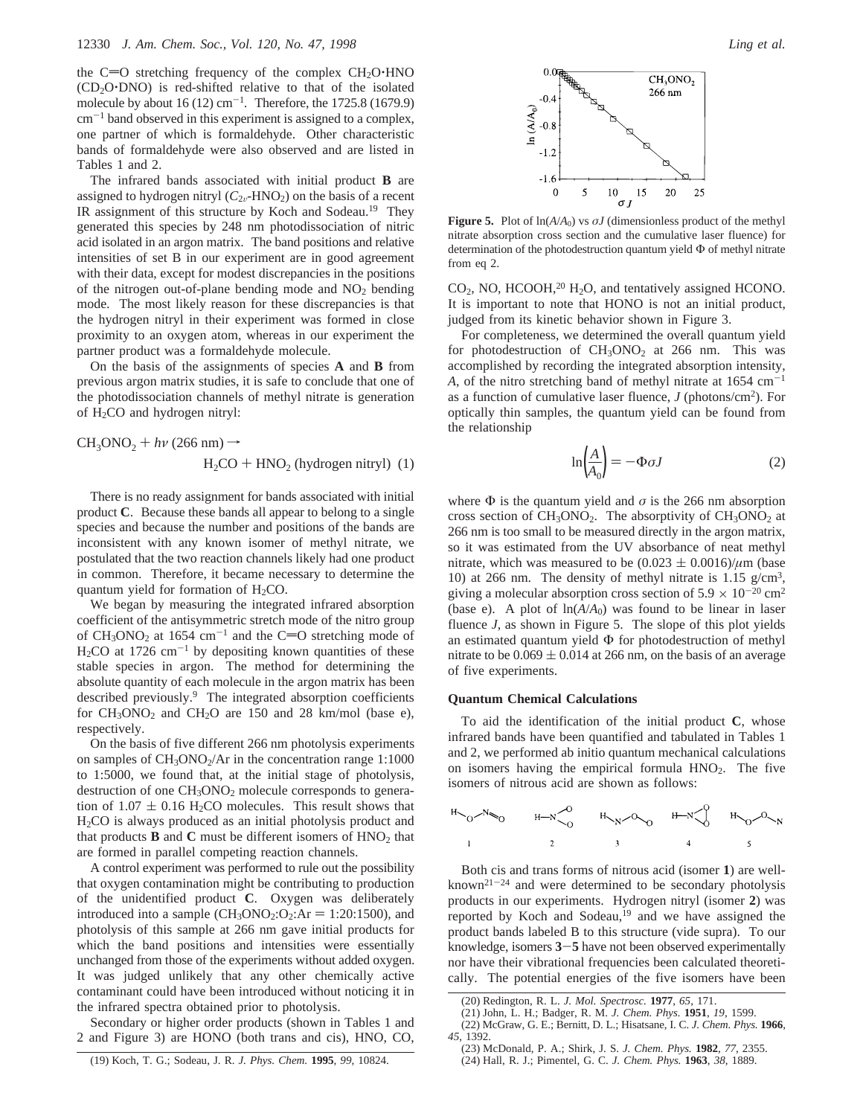the C=O stretching frequency of the complex  $CH<sub>2</sub>O<sup>+</sup>HNO$  $(CD<sub>2</sub>O<sup>+</sup> DNO)$  is red-shifted relative to that of the isolated molecule by about  $16 (12)$  cm<sup>-1</sup>. Therefore, the 1725.8 (1679.9)  $cm^{-1}$  band observed in this experiment is assigned to a complex, one partner of which is formaldehyde. Other characteristic bands of formaldehyde were also observed and are listed in Tables 1 and 2.

The infrared bands associated with initial product **B** are assigned to hydrogen nitryl  $(C_{2v}$ -HNO<sub>2</sub>) on the basis of a recent IR assignment of this structure by Koch and Sodeau.<sup>19</sup> They generated this species by 248 nm photodissociation of nitric acid isolated in an argon matrix. The band positions and relative intensities of set B in our experiment are in good agreement with their data, except for modest discrepancies in the positions of the nitrogen out-of-plane bending mode and NO<sub>2</sub> bending mode. The most likely reason for these discrepancies is that the hydrogen nitryl in their experiment was formed in close proximity to an oxygen atom, whereas in our experiment the partner product was a formaldehyde molecule.

On the basis of the assignments of species **A** and **B** from previous argon matrix studies, it is safe to conclude that one of the photodissociation channels of methyl nitrate is generation of H2CO and hydrogen nitryl:

$$
CH3ONO2 + h\nu (266 nm) \rightarrow H2CO + HNO2 (hydrogen nitryl) (1)
$$

There is no ready assignment for bands associated with initial product **C**. Because these bands all appear to belong to a single species and because the number and positions of the bands are inconsistent with any known isomer of methyl nitrate, we postulated that the two reaction channels likely had one product in common. Therefore, it became necessary to determine the quantum yield for formation of  $H<sub>2</sub>CO$ .

We began by measuring the integrated infrared absorption coefficient of the antisymmetric stretch mode of the nitro group of  $CH_3ONO_2$  at 1654 cm<sup>-1</sup> and the C=O stretching mode of  $H<sub>2</sub>CO$  at 1726 cm<sup>-1</sup> by depositing known quantities of these stable species in argon. The method for determining the absolute quantity of each molecule in the argon matrix has been described previously.<sup>9</sup> The integrated absorption coefficients for  $CH<sub>3</sub>ONO<sub>2</sub>$  and  $CH<sub>2</sub>O$  are 150 and 28 km/mol (base e), respectively.

On the basis of five different 266 nm photolysis experiments on samples of  $CH<sub>3</sub>ONO<sub>2</sub>/Ar$  in the concentration range 1:1000 to 1:5000, we found that, at the initial stage of photolysis, destruction of one CH<sub>3</sub>ONO<sub>2</sub> molecule corresponds to generation of  $1.07 \pm 0.16$  H<sub>2</sub>CO molecules. This result shows that H2CO is always produced as an initial photolysis product and that products  $\bf{B}$  and  $\bf{C}$  must be different isomers of  $HNO<sub>2</sub>$  that are formed in parallel competing reaction channels.

A control experiment was performed to rule out the possibility that oxygen contamination might be contributing to production of the unidentified product **C**. Oxygen was deliberately introduced into a sample  $(CH_3ONO_2:O_2:Ar = 1:20:1500)$ , and photolysis of this sample at 266 nm gave initial products for which the band positions and intensities were essentially unchanged from those of the experiments without added oxygen. It was judged unlikely that any other chemically active contaminant could have been introduced without noticing it in the infrared spectra obtained prior to photolysis.

Secondary or higher order products (shown in Tables 1 and 2 and Figure 3) are HONO (both trans and cis), HNO, CO,

(19) Koch, T. G.; Sodeau, J. R. *J. Phys. Chem.* **1995**, *99*, 10824.



**Figure 5.** Plot of  $ln(A/A_0)$  vs  $\sigma J$  (dimensionless product of the methyl nitrate absorption cross section and the cumulative laser fluence) for determination of the photodestruction quantum yield Φ of methyl nitrate from eq 2.

 $CO<sub>2</sub>$ , NO, HCOOH,<sup>20</sup> H<sub>2</sub>O, and tentatively assigned HCONO. It is important to note that HONO is not an initial product, judged from its kinetic behavior shown in Figure 3.

For completeness, we determined the overall quantum yield for photodestruction of  $CH<sub>3</sub>ONO<sub>2</sub>$  at 266 nm. This was accomplished by recording the integrated absorption intensity, *A*, of the nitro stretching band of methyl nitrate at  $1654 \text{ cm}^{-1}$ as a function of cumulative laser fluence,  $J$  (photons/cm<sup>2</sup>). For optically thin samples, the quantum yield can be found from the relationship

$$
\ln\left(\frac{A}{A_0}\right) = -\Phi \sigma J \tag{2}
$$

where  $\Phi$  is the quantum yield and  $\sigma$  is the 266 nm absorption cross section of  $CH<sub>3</sub>ONO<sub>2</sub>$ . The absorptivity of  $CH<sub>3</sub>ONO<sub>2</sub>$  at 266 nm is too small to be measured directly in the argon matrix, so it was estimated from the UV absorbance of neat methyl nitrate, which was measured to be  $(0.023 \pm 0.0016)/\mu$ m (base 10) at 266 nm. The density of methyl nitrate is  $1.15$  g/cm<sup>3</sup>, giving a molecular absorption cross section of  $5.9 \times 10^{-20}$  cm<sup>2</sup> (base e). A plot of  $ln(A/A_0)$  was found to be linear in laser fluence *J*, as shown in Figure 5. The slope of this plot yields an estimated quantum yield  $\Phi$  for photodestruction of methyl nitrate to be  $0.069 \pm 0.014$  at 266 nm, on the basis of an average of five experiments.

# **Quantum Chemical Calculations**

To aid the identification of the initial product **C**, whose infrared bands have been quantified and tabulated in Tables 1 and 2, we performed ab initio quantum mechanical calculations on isomers having the empirical formula HNO<sub>2</sub>. The five isomers of nitrous acid are shown as follows:

$$
H_{0}N_{0}
$$
  $H_{-N}O$   $H_{-N}O_{0}$   $H_{-N}O_{0}$   $H_{-N}O_{0}$   $H_{-N}O_{N}$ 

Both cis and trans forms of nitrous acid (isomer **1**) are wellknown21-<sup>24</sup> and were determined to be secondary photolysis products in our experiments. Hydrogen nitryl (isomer **2**) was reported by Koch and Sodeau,<sup>19</sup> and we have assigned the product bands labeled B to this structure (vide supra). To our knowledge, isomers **<sup>3</sup>**-**<sup>5</sup>** have not been observed experimentally nor have their vibrational frequencies been calculated theoretically. The potential energies of the five isomers have been

<sup>(20)</sup> Redington, R. L. *J. Mol. Spectrosc.* **1977**, *65*, 171.

<sup>(21)</sup> John, L. H.; Badger, R. M. *J. Chem. Phys.* **1951**, *19*, 1599.

<sup>(22)</sup> McGraw, G. E.; Bernitt, D. L.; Hisatsane, I. C. *J. Chem. Phys.* **1966**, *45*, 1392.

<sup>(23)</sup> McDonald, P. A.; Shirk, J. S. *J. Chem. Phys.* **1982**, *77*, 2355.

<sup>(24)</sup> Hall, R. J.; Pimentel, G. C. *J. Chem. Phys.* **1963**, *38*, 1889.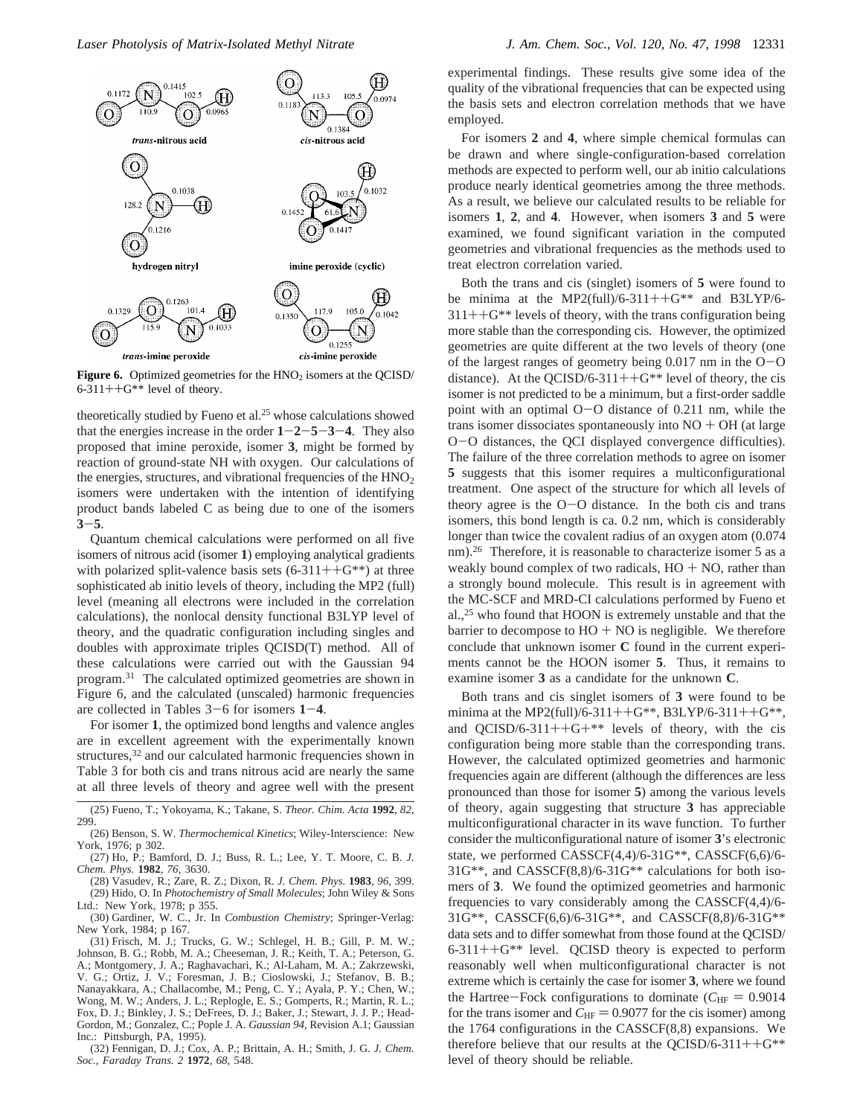

**Figure 6.** Optimized geometries for the  $HNO<sub>2</sub>$  isomers at the QCISD/  $6-311++G**$  level of theory.

theoretically studied by Fueno et al.25 whose calculations showed that the energies increase in the order  $1 - 2 - 5 - 3 - 4$ . They also proposed that imine peroxide, isomer **3**, might be formed by reaction of ground-state NH with oxygen. Our calculations of the energies, structures, and vibrational frequencies of the  $HNO<sub>2</sub>$ isomers were undertaken with the intention of identifying product bands labeled C as being due to one of the isomers **<sup>3</sup>**-**5**.

Quantum chemical calculations were performed on all five isomers of nitrous acid (isomer **1**) employing analytical gradients with polarized split-valence basis sets  $(6-311++G^{**})$  at three sophisticated ab initio levels of theory, including the MP2 (full) level (meaning all electrons were included in the correlation calculations), the nonlocal density functional B3LYP level of theory, and the quadratic configuration including singles and doubles with approximate triples QCISD(T) method. All of these calculations were carried out with the Gaussian 94 program.31 The calculated optimized geometries are shown in Figure 6, and the calculated (unscaled) harmonic frequencies are collected in Tables 3-6 for isomers **<sup>1</sup>**-**4**.

For isomer **1**, the optimized bond lengths and valence angles are in excellent agreement with the experimentally known structures,<sup>32</sup> and our calculated harmonic frequencies shown in Table 3 for both cis and trans nitrous acid are nearly the same at all three levels of theory and agree well with the present

(25) Fueno, T.; Yokoyama, K.; Takane, S. *Theor. Chim. Acta* **1992**, *82*, 299.

(27) Ho, P.; Bamford, D. J.; Buss, R. L.; Lee, Y. T. Moore, C. B. *J. Chem. Phys.* **1982**, *76*, 3630.

(28) Vasudev, R.; Zare, R. Z.; Dixon, R. *J. Chem. Phys.* **1983**, *96*, 399. (29) Hido, O. In *Photochemistry of Small Molecules*; John Wiley & Sons Ltd.: New York, 1978; p 355.

(30) Gardiner, W. C., Jr. In *Combustion Chemistry*; Springer-Verlag: New York, 1984; p 167.

(31) Frisch, M. J.; Trucks, G. W.; Schlegel, H. B.; Gill, P. M. W.; Johnson, B. G.; Robb, M. A.; Cheeseman, J. R.; Keith, T. A.; Peterson, G. A.; Montgomery, J. A.; Raghavachari, K.; Al-Laham, M. A.; Zakrzewski, V. G.; Ortiz, J. V.; Foresman, J. B.; Cioslowski, J.; Stefanov, B. B.; Nanayakkara, A.; Challacombe, M.; Peng, C. Y.; Ayala, P. Y.; Chen, W.; Wong, M. W.; Anders, J. L.; Replogle, E. S.; Gomperts, R.; Martin, R. L.; Fox, D. J.; Binkley, J. S.; DeFrees, D. J.; Baker, J.; Stewart, J. J. P.; Head-Gordon, M.; Gonzalez, C.; Pople J. A. *Gaussian 94*, Revision A.1; Gaussian Inc.: Pittsburgh, PA, 1995).

(32) Fennigan, D. J.; Cox, A. P.; Brittain, A. H.; Smith, J. G. *J. Chem. Soc., Faraday Trans. 2* **1972**, *68*, 548.

experimental findings. These results give some idea of the quality of the vibrational frequencies that can be expected using the basis sets and electron correlation methods that we have employed.

For isomers **2** and **4**, where simple chemical formulas can be drawn and where single-configuration-based correlation methods are expected to perform well, our ab initio calculations produce nearly identical geometries among the three methods. As a result, we believe our calculated results to be reliable for isomers **1**, **2**, and **4**. However, when isomers **3** and **5** were examined, we found significant variation in the computed geometries and vibrational frequencies as the methods used to treat electron correlation varied.

Both the trans and cis (singlet) isomers of **5** were found to be minima at the MP2(full)/6-311++ $G$ <sup>\*\*</sup> and B3LYP/6- $311++G**$  levels of theory, with the trans configuration being more stable than the corresponding cis. However, the optimized geometries are quite different at the two levels of theory (one of the largest ranges of geometry being 0.017 nm in the O-<sup>O</sup> distance). At the QCISD/6-311++ $G^{**}$  level of theory, the cis isomer is not predicted to be a minimum, but a first-order saddle point with an optimal O-O distance of 0.211 nm, while the trans isomer dissociates spontaneously into  $NO + OH$  (at large <sup>O</sup>-O distances, the QCI displayed convergence difficulties). The failure of the three correlation methods to agree on isomer **5** suggests that this isomer requires a multiconfigurational treatment. One aspect of the structure for which all levels of theory agree is the  $O-O$  distance. In the both cis and trans isomers, this bond length is ca. 0.2 nm, which is considerably longer than twice the covalent radius of an oxygen atom  $(0.074)$ nm).<sup>26</sup> Therefore, it is reasonable to characterize isomer 5 as a weakly bound complex of two radicals,  $HO + NO$ , rather than a strongly bound molecule. This result is in agreement with the MC-SCF and MRD-CI calculations performed by Fueno et al.,25 who found that HOON is extremely unstable and that the barrier to decompose to  $HO + NO$  is negligible. We therefore conclude that unknown isomer **C** found in the current experiments cannot be the HOON isomer **5**. Thus, it remains to examine isomer **3** as a candidate for the unknown **C**.

Both trans and cis singlet isomers of **3** were found to be minima at the MP2(full)/6-311++G\*\*, B3LYP/6-311++G\*\*, and QCISD/6-311++G+ $*$ \* levels of theory, with the cis configuration being more stable than the corresponding trans. However, the calculated optimized geometries and harmonic frequencies again are different (although the differences are less pronounced than those for isomer **5**) among the various levels of theory, again suggesting that structure **3** has appreciable multiconfigurational character in its wave function. To further consider the multiconfigurational nature of isomer **3**'s electronic state, we performed CASSCF(4,4)/6-31G\*\*, CASSCF(6,6)/6- 31G\*\*, and CASSCF(8,8)/6-31G\*\* calculations for both isomers of **3**. We found the optimized geometries and harmonic frequencies to vary considerably among the CASSCF(4,4)/6- 31G\*\*, CASSCF(6,6)/6-31G\*\*, and CASSCF(8,8)/6-31G\*\* data sets and to differ somewhat from those found at the QCISD/ 6-311++G\*\* level. QCISD theory is expected to perform reasonably well when multiconfigurational character is not extreme which is certainly the case for isomer **3**, where we found the Hartree-Fock configurations to dominate ( $C_{HF} = 0.9014$ ) for the trans isomer and  $C_{\text{HF}} = 0.9077$  for the cis isomer) among the 1764 configurations in the CASSCF(8,8) expansions. We therefore believe that our results at the QCISD/6-311++ $G^{**}$ level of theory should be reliable.

<sup>(26)</sup> Benson, S. W. *Thermochemical Kinetics*; Wiley-Interscience: New York, 1976; p 302.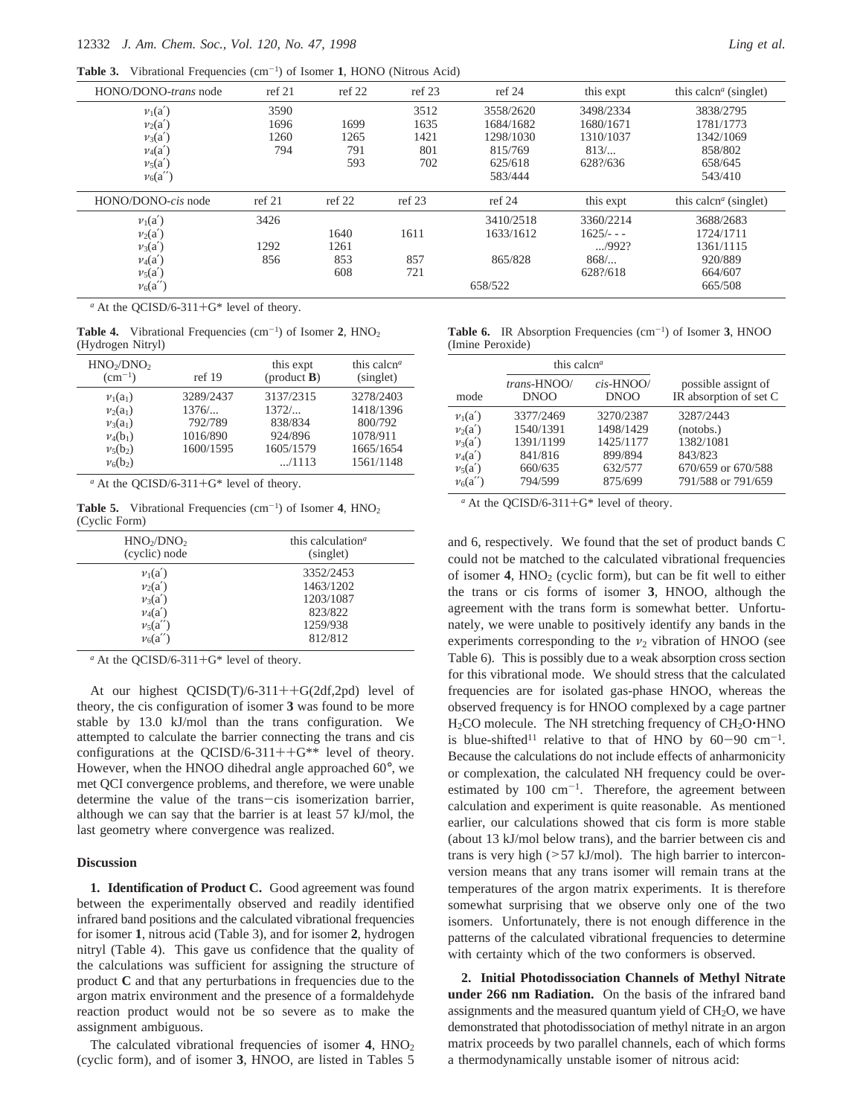**Table 3.** Vibrational Frequencies (cm-<sup>1</sup> ) of Isomer **1**, HONO (Nitrous Acid)

| HONO/DONO-trans node | ref 21 | ref 22 | ref 23 | ref 24    | this expt      | this calcn <sup><i>a</i></sup> (singlet) |
|----------------------|--------|--------|--------|-----------|----------------|------------------------------------------|
| $v_1(a')$            | 3590   |        | 3512   | 3558/2620 | 3498/2334      | 3838/2795                                |
| $v_2(a')$            | 1696   | 1699   | 1635   | 1684/1682 | 1680/1671      | 1781/1773                                |
| $\nu_3(a')$          | 1260   | 1265   | 1421   | 1298/1030 | 1310/1037      | 1342/1069                                |
| $\nu_4(a')$          | 794    | 791    | 801    | 815/769   | $813/$         | 858/802                                  |
| $\nu_5(a')$          |        | 593    | 702    | 625/618   | 628?/636       | 658/645                                  |
| $\nu_6(a'')$         |        |        |        | 583/444   |                | 543/410                                  |
| HONO/DONO-cis node   | ref 21 | ref 22 | ref 23 | ref 24    | this expt      | this calcn <sup><i>a</i></sup> (singlet) |
| $v_1(a')$            | 3426   |        |        | 3410/2518 | 3360/2214      | 3688/2683                                |
| $v_2(a')$            |        | 1640   | 1611   | 1633/1612 | $1625/- - -$   | 1724/1711                                |
| $v_3(a')$            | 1292   | 1261   |        |           | $\ldots$ /992? | 1361/1115                                |
| $\nu_4(a')$          | 856    | 853    | 857    | 865/828   | 868/           | 920/889                                  |
| $v_5(a')$            |        | 608    | 721    |           | 628?/618       | 664/607                                  |
| $\nu_6(a'')$         |        |        |        | 658/522   |                | 665/508                                  |

*<sup>a</sup>* At the QCISD/6-311+G\* level of theory.

**Table 4.** Vibrational Frequencies  $(cm<sup>-1</sup>)$  of Isomer 2,  $HNO<sub>2</sub>$ (Hydrogen Nitryl)

| HNO <sub>2</sub> /DNO <sub>2</sub><br>$\rm (cm^{-1})$ | ref 19    | this expt<br>$(product B)$ | this calcn <sup><math>a</math></sup><br>(singlet) |
|-------------------------------------------------------|-----------|----------------------------|---------------------------------------------------|
| $v_1(a_1)$                                            | 3289/2437 | 3137/2315                  | 3278/2403                                         |
| $v_2(a_1)$                                            | $1376/$   | 1372/                      | 1418/1396                                         |
| $v_3(a_1)$                                            | 792/789   | 838/834                    | 800/792                                           |
| $v_4(b_1)$                                            | 1016/890  | 924/896                    | 1078/911                                          |
| $\nu_5(b_2)$                                          | 1600/1595 | 1605/1579                  | 1665/1654                                         |
| $v_6(b_2)$                                            |           | M/1113                     | 1561/1148                                         |

 $a$  At the QCISD/6-311+G\* level of theory.

**Table 5.** Vibrational Frequencies  $(cm<sup>-1</sup>)$  of Isomer 4,  $HNO<sub>2</sub>$ (Cyclic Form)

| HNO <sub>2</sub> /DNO <sub>2</sub><br>(cyclic) node | this calculation <sup><math>a</math></sup><br>(singlet) |
|-----------------------------------------------------|---------------------------------------------------------|
| $v_1(a')$                                           | 3352/2453                                               |
| $v_2(a')$                                           | 1463/1202                                               |
| $v_3(a')$                                           | 1203/1087                                               |
| $v_4(a')$                                           | 823/822                                                 |
| $\nu_5(a'')$                                        | 1259/938                                                |
| $\nu_6(a'')$                                        | 812/812                                                 |

*<sup>a</sup>* At the QCISD/6-311+G\* level of theory.

At our highest QCISD(T)/6-311++G(2df,2pd) level of theory, the cis configuration of isomer **3** was found to be more stable by 13.0 kJ/mol than the trans configuration. We attempted to calculate the barrier connecting the trans and cis configurations at the QCISD/6-311++ $G^{**}$  level of theory. However, when the HNOO dihedral angle approached 60°, we met QCI convergence problems, and therefore, we were unable determine the value of the trans-cis isomerization barrier, although we can say that the barrier is at least 57 kJ/mol, the last geometry where convergence was realized.

#### **Discussion**

**1. Identification of Product C.** Good agreement was found between the experimentally observed and readily identified infrared band positions and the calculated vibrational frequencies for isomer **1**, nitrous acid (Table 3), and for isomer **2**, hydrogen nitryl (Table 4). This gave us confidence that the quality of the calculations was sufficient for assigning the structure of product **C** and that any perturbations in frequencies due to the argon matrix environment and the presence of a formaldehyde reaction product would not be so severe as to make the assignment ambiguous.

The calculated vibrational frequencies of isomer  $4$ ,  $HNO<sub>2</sub>$ (cyclic form), and of isomer **3**, HNOO, are listed in Tables 5

|                  | <b>Table 6.</b> IR Absorption Frequencies $(cm-1)$ of Isomer 3, HNOO |
|------------------|----------------------------------------------------------------------|
| (Imine Peroxide) |                                                                      |

|              | this calcn <sup><math>a</math></sup> |              |                        |
|--------------|--------------------------------------|--------------|------------------------|
| mode         | trans-HNOO/                          | $cis$ -HNOO/ | possible assignt of    |
|              | <b>DNOO</b>                          | <b>DNOO</b>  | IR absorption of set C |
| $v_1(a')$    | 3377/2469                            | 3270/2387    | 3287/2443              |
| $v_2(a')$    | 1540/1391                            | 1498/1429    | (notobs.)              |
| $v_3(a')$    | 1391/1199                            | 1425/1177    | 1382/1081              |
| $v_4(a')$    | 841/816                              | 899/894      | 843/823                |
| $\nu_5(a')$  | 660/635                              | 632/577      | 670/659 or 670/588     |
| $\nu_6(a'')$ | 794/599                              | 875/699      | 791/588 or 791/659     |

*<sup>a</sup>* At the QCISD/6-311+G\* level of theory.

and 6, respectively. We found that the set of product bands C could not be matched to the calculated vibrational frequencies of isomer  $4$ ,  $HNO<sub>2</sub>$  (cyclic form), but can be fit well to either the trans or cis forms of isomer **3**, HNOO, although the agreement with the trans form is somewhat better. Unfortunately, we were unable to positively identify any bands in the experiments corresponding to the  $v_2$  vibration of HNOO (see Table 6). This is possibly due to a weak absorption cross section for this vibrational mode. We should stress that the calculated frequencies are for isolated gas-phase HNOO, whereas the observed frequency is for HNOO complexed by a cage partner  $H<sub>2</sub>CO$  molecule. The NH stretching frequency of  $CH<sub>2</sub>O<sup>+</sup>HNO$ is blue-shifted<sup>11</sup> relative to that of HNO by  $60-90$  cm<sup>-1</sup>. Because the calculations do not include effects of anharmonicity or complexation, the calculated NH frequency could be overestimated by  $100 \text{ cm}^{-1}$ . Therefore, the agreement between calculation and experiment is quite reasonable. As mentioned earlier, our calculations showed that cis form is more stable (about 13 kJ/mol below trans), and the barrier between cis and trans is very high (>57 kJ/mol). The high barrier to interconversion means that any trans isomer will remain trans at the temperatures of the argon matrix experiments. It is therefore somewhat surprising that we observe only one of the two isomers. Unfortunately, there is not enough difference in the patterns of the calculated vibrational frequencies to determine with certainty which of the two conformers is observed.

**2. Initial Photodissociation Channels of Methyl Nitrate under 266 nm Radiation.** On the basis of the infrared band assignments and the measured quantum yield of  $CH<sub>2</sub>O$ , we have demonstrated that photodissociation of methyl nitrate in an argon matrix proceeds by two parallel channels, each of which forms a thermodynamically unstable isomer of nitrous acid: